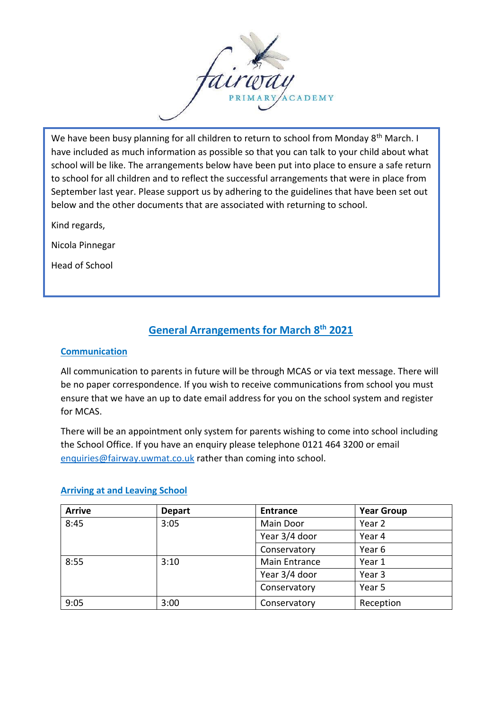

We have been busy planning for all children to return to school from Monday 8<sup>th</sup> March. I have included as much information as possible so that you can talk to your child about what school will be like. The arrangements below have been put into place to ensure a safe return to school for all children and to reflect the successful arrangements that were in place from September last year. Please support us by adhering to the guidelines that have been set out below and the other documents that are associated with returning to school.

Kind regards,

Nicola Pinnegar

Head of School

# **General Arrangements for March 8th 2021**

#### **Communication**

All communication to parents in future will be through MCAS or via text message. There will be no paper correspondence. If you wish to receive communications from school you must ensure that we have an up to date email address for you on the school system and register for MCAS.

There will be an appointment only system for parents wishing to come into school including the School Office. If you have an enquiry please telephone 0121 464 3200 or email [enquiries@fairway.uwmat.co.uk](mailto:enquiries@fairway.uwmat.co.uk) rather than coming into school.

#### **Arriving at and Leaving School**

| <b>Arrive</b> | <b>Depart</b> | <b>Entrance</b>      | <b>Year Group</b> |
|---------------|---------------|----------------------|-------------------|
| 8:45          | 3:05          | Main Door            | Year 2            |
|               |               | Year 3/4 door        | Year 4            |
|               |               | Conservatory         | Year 6            |
| 8:55          | 3:10          | <b>Main Entrance</b> | Year 1            |
|               |               | Year 3/4 door        | Year <sub>3</sub> |
|               |               | Conservatory         | Year 5            |
| 9:05          | 3:00          | Conservatory         | Reception         |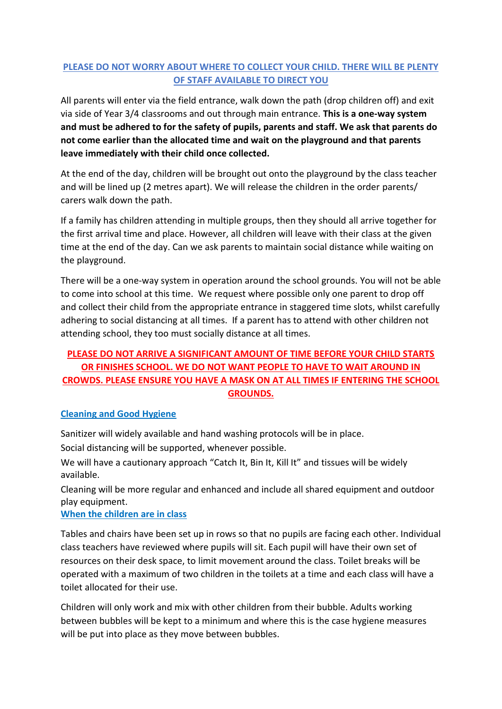# **PLEASE DO NOT WORRY ABOUT WHERE TO COLLECT YOUR CHILD. THERE WILL BE PLENTY OF STAFF AVAILABLE TO DIRECT YOU**

All parents will enter via the field entrance, walk down the path (drop children off) and exit via side of Year 3/4 classrooms and out through main entrance. **This is a one-way system and must be adhered to for the safety of pupils, parents and staff. We ask that parents do not come earlier than the allocated time and wait on the playground and that parents leave immediately with their child once collected.**

At the end of the day, children will be brought out onto the playground by the class teacher and will be lined up (2 metres apart). We will release the children in the order parents/ carers walk down the path.

If a family has children attending in multiple groups, then they should all arrive together for the first arrival time and place. However, all children will leave with their class at the given time at the end of the day. Can we ask parents to maintain social distance while waiting on the playground.

There will be a one-way system in operation around the school grounds. You will not be able to come into school at this time. We request where possible only one parent to drop off and collect their child from the appropriate entrance in staggered time slots, whilst carefully adhering to social distancing at all times. If a parent has to attend with other children not attending school, they too must socially distance at all times.

# **PLEASE DO NOT ARRIVE A SIGNIFICANT AMOUNT OF TIME BEFORE YOUR CHILD STARTS OR FINISHES SCHOOL. WE DO NOT WANT PEOPLE TO HAVE TO WAIT AROUND IN CROWDS. PLEASE ENSURE YOU HAVE A MASK ON AT ALL TIMES IF ENTERING THE SCHOOL GROUNDS.**

## **Cleaning and Good Hygiene**

Sanitizer will widely available and hand washing protocols will be in place.

Social distancing will be supported, whenever possible.

We will have a cautionary approach "Catch It, Bin It, Kill It" and tissues will be widely available.

Cleaning will be more regular and enhanced and include all shared equipment and outdoor play equipment.

## **When the children are in class**

Tables and chairs have been set up in rows so that no pupils are facing each other. Individual class teachers have reviewed where pupils will sit. Each pupil will have their own set of resources on their desk space, to limit movement around the class. Toilet breaks will be operated with a maximum of two children in the toilets at a time and each class will have a toilet allocated for their use.

Children will only work and mix with other children from their bubble. Adults working between bubbles will be kept to a minimum and where this is the case hygiene measures will be put into place as they move between bubbles.